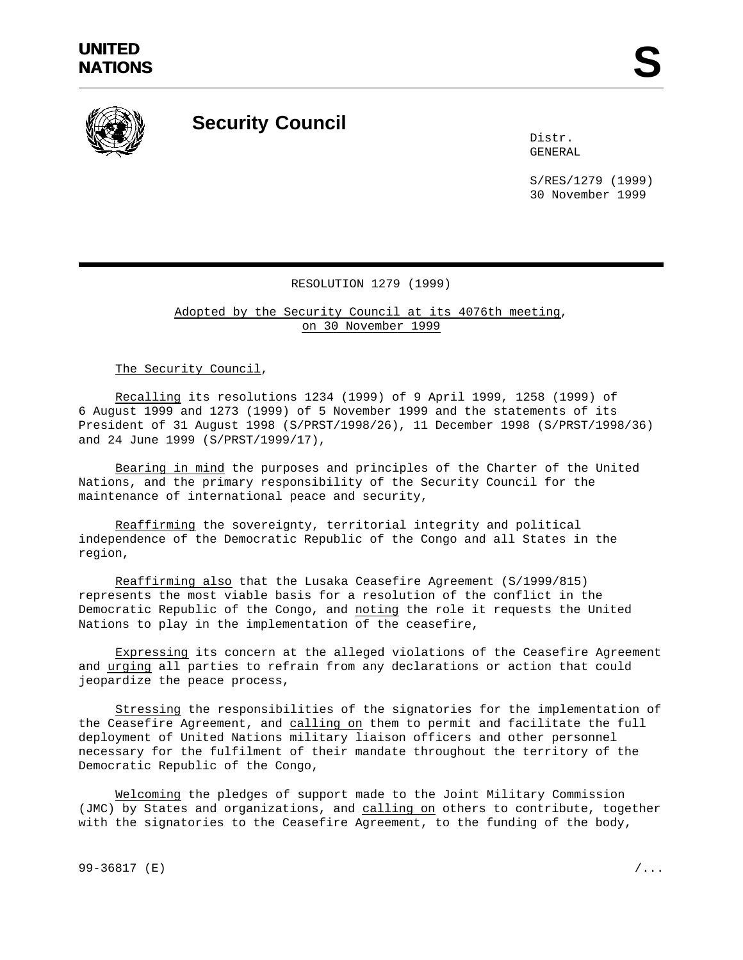

## **Security Council**

Distr. GENERAL

S/RES/1279 (1999) 30 November 1999

## RESOLUTION 1279 (1999)

Adopted by the Security Council at its 4076th meeting, on 30 November 1999

The Security Council,

Recalling its resolutions 1234 (1999) of 9 April 1999, 1258 (1999) of 6 August 1999 and 1273 (1999) of 5 November 1999 and the statements of its President of 31 August 1998 (S/PRST/1998/26), 11 December 1998 (S/PRST/1998/36) and 24 June 1999 (S/PRST/1999/17),

Bearing in mind the purposes and principles of the Charter of the United Nations, and the primary responsibility of the Security Council for the maintenance of international peace and security,

Reaffirming the sovereignty, territorial integrity and political independence of the Democratic Republic of the Congo and all States in the region,

Reaffirming also that the Lusaka Ceasefire Agreement (S/1999/815) represents the most viable basis for a resolution of the conflict in the Democratic Republic of the Congo, and noting the role it requests the United Nations to play in the implementation of the ceasefire,

Expressing its concern at the alleged violations of the Ceasefire Agreement and urging all parties to refrain from any declarations or action that could jeopardize the peace process,

Stressing the responsibilities of the signatories for the implementation of the Ceasefire Agreement, and calling on them to permit and facilitate the full deployment of United Nations military liaison officers and other personnel necessary for the fulfilment of their mandate throughout the territory of the Democratic Republic of the Congo,

Welcoming the pledges of support made to the Joint Military Commission (JMC) by States and organizations, and calling on others to contribute, together with the signatories to the Ceasefire Agreement, to the funding of the body,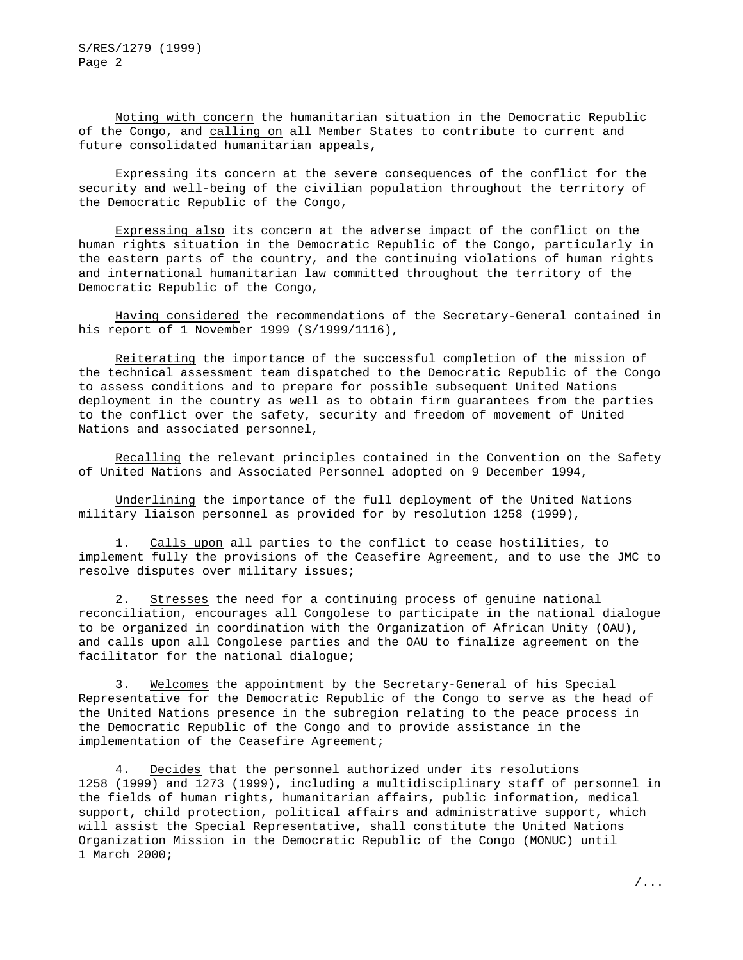Noting with concern the humanitarian situation in the Democratic Republic of the Congo, and calling on all Member States to contribute to current and future consolidated humanitarian appeals,

Expressing its concern at the severe consequences of the conflict for the security and well-being of the civilian population throughout the territory of the Democratic Republic of the Congo,

Expressing also its concern at the adverse impact of the conflict on the human rights situation in the Democratic Republic of the Congo, particularly in the eastern parts of the country, and the continuing violations of human rights and international humanitarian law committed throughout the territory of the Democratic Republic of the Congo,

Having considered the recommendations of the Secretary-General contained in his report of 1 November 1999 (S/1999/1116),

Reiterating the importance of the successful completion of the mission of the technical assessment team dispatched to the Democratic Republic of the Congo to assess conditions and to prepare for possible subsequent United Nations deployment in the country as well as to obtain firm guarantees from the parties to the conflict over the safety, security and freedom of movement of United Nations and associated personnel,

Recalling the relevant principles contained in the Convention on the Safety of United Nations and Associated Personnel adopted on 9 December 1994,

Underlining the importance of the full deployment of the United Nations military liaison personnel as provided for by resolution 1258 (1999),

1. Calls upon all parties to the conflict to cease hostilities, to implement fully the provisions of the Ceasefire Agreement, and to use the JMC to resolve disputes over military issues;

2. Stresses the need for a continuing process of genuine national reconciliation, encourages all Congolese to participate in the national dialogue to be organized in coordination with the Organization of African Unity (OAU), and calls upon all Congolese parties and the OAU to finalize agreement on the facilitator for the national dialogue;

3. Welcomes the appointment by the Secretary-General of his Special Representative for the Democratic Republic of the Congo to serve as the head of the United Nations presence in the subregion relating to the peace process in the Democratic Republic of the Congo and to provide assistance in the implementation of the Ceasefire Agreement;

4. Decides that the personnel authorized under its resolutions 1258 (1999) and 1273 (1999), including a multidisciplinary staff of personnel in the fields of human rights, humanitarian affairs, public information, medical support, child protection, political affairs and administrative support, which will assist the Special Representative, shall constitute the United Nations Organization Mission in the Democratic Republic of the Congo (MONUC) until 1 March 2000;